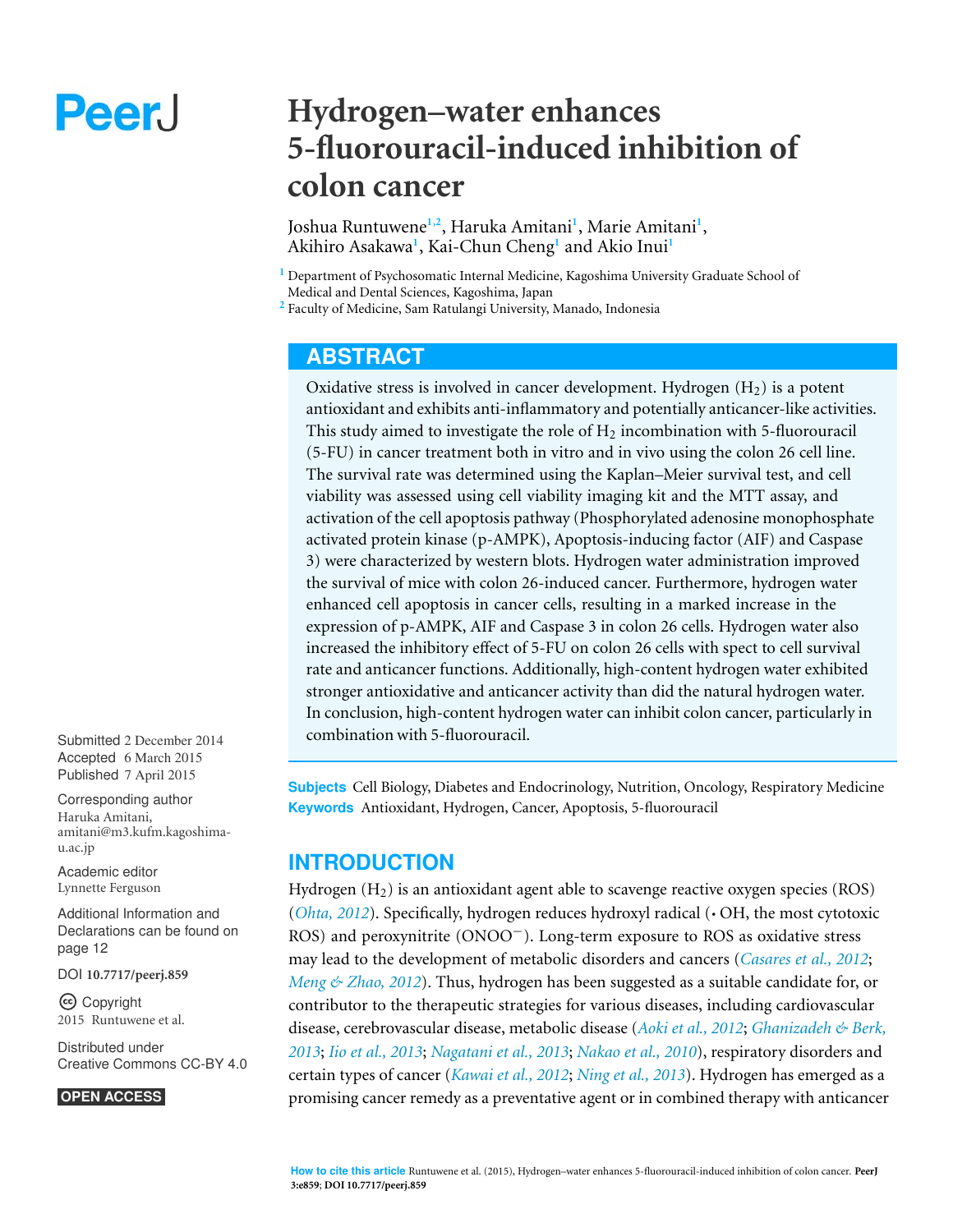# Peer.

# **Hydrogen–water enhances 5-fluorouracil-induced inhibition of colon cancer**

Joshua Runtuwene**1,2**, Haruka Amitani**<sup>1</sup>** , Marie Amitani**<sup>1</sup>** , Akihiro Asakawa**<sup>1</sup>** , Kai-Chun Cheng**<sup>1</sup>** and Akio Inui**<sup>1</sup>**

**<sup>1</sup>** Department of Psychosomatic Internal Medicine, Kagoshima University Graduate School of Medical and Dental Sciences, Kagoshima, Japan

**<sup>2</sup>** Faculty of Medicine, Sam Ratulangi University, Manado, Indonesia

# **ABSTRACT**

Oxidative stress is involved in cancer development. Hydrogen  $(H<sub>2</sub>)$  is a potent antioxidant and exhibits anti-inflammatory and potentially anticancer-like activities. This study aimed to investigate the role of  $H_2$  incombination with 5-fluorouracil (5-FU) in cancer treatment both in vitro and in vivo using the colon 26 cell line. The survival rate was determined using the Kaplan–Meier survival test, and cell viability was assessed using cell viability imaging kit and the MTT assay, and activation of the cell apoptosis pathway (Phosphorylated adenosine monophosphate activated protein kinase (p-AMPK), Apoptosis-inducing factor (AIF) and Caspase 3) were characterized by western blots. Hydrogen water administration improved the survival of mice with colon 26-induced cancer. Furthermore, hydrogen water enhanced cell apoptosis in cancer cells, resulting in a marked increase in the expression of p-AMPK, AIF and Caspase 3 in colon 26 cells. Hydrogen water also increased the inhibitory effect of 5-FU on colon 26 cells with spect to cell survival rate and anticancer functions. Additionally, high-content hydrogen water exhibited stronger antioxidative and anticancer activity than did the natural hydrogen water. In conclusion, high-content hydrogen water can inhibit colon cancer, particularly in combination with 5-fluorouracil.

**Subjects** Cell Biology, Diabetes and Endocrinology, Nutrition, Oncology, Respiratory Medicine **Keywords** Antioxidant, Hydrogen, Cancer, Apoptosis, 5-fluorouracil

# **INTRODUCTION**

Hydrogen  $(H<sub>2</sub>)$  is an antioxidant agent able to scavenge reactive oxygen species (ROS) (*[Ohta, 2012](#page-14-0)*). Specifically, hydrogen reduces hydroxyl radical (· OH, the most cytotoxic ROS) and peroxynitrite (ONOO−). Long-term exposure to ROS as oxidative stress may lead to the development of metabolic disorders and cancers (*[Casares et al., 2012](#page-12-0)*; *[Meng & Zhao, 2012](#page-13-0)*). Thus, hydrogen has been suggested as a suitable candidate for, or contributor to the therapeutic strategies for various diseases, including cardiovascular disease, cerebrovascular disease, metabolic disease (*[Aoki et al., 2012](#page-12-1)*; *[Ghanizadeh & Berk,](#page-12-2) [2013](#page-12-2)*; *[Iio et al., 2013](#page-12-3)*; *[Nagatani et al., 2013](#page-13-1)*; *[Nakao et al., 2010](#page-13-2)*), respiratory disorders and certain types of cancer (*[Kawai et al., 2012](#page-13-3)*; *[Ning et al., 2013](#page-14-1)*). Hydrogen has emerged as a promising cancer remedy as a preventative agent or in combined therapy with anticancer

Submitted 2 December 2014 Accepted 6 March 2015 Published 7 April 2015

Corresponding author Haruka Amitani, [amitani@m3.kufm.kagoshima](mailto:amitani@m3.kufm.kagoshima-u.ac.jp)[u.ac.jp](mailto:amitani@m3.kufm.kagoshima-u.ac.jp)

[Academic editor](https://peerj.com/academic-boards/editors/) [Lynnette Ferguson](https://peerj.com/academic-boards/editors/)

[Additional Information and](#page-11-0) [Declarations can be found on](#page-11-0) [page 12](#page-11-0)

[DOI](http://dx.doi.org/10.7717/peerj.859) **[10.7717/peerj.859](http://dx.doi.org/10.7717/peerj.859)**

Copyright 2015 Runtuwene et al.

[Distributed under](http://creativecommons.org/licenses/by/4.0/) [Creative Commons CC-BY 4.0](http://creativecommons.org/licenses/by/4.0/)

#### **OPEN ACCESS**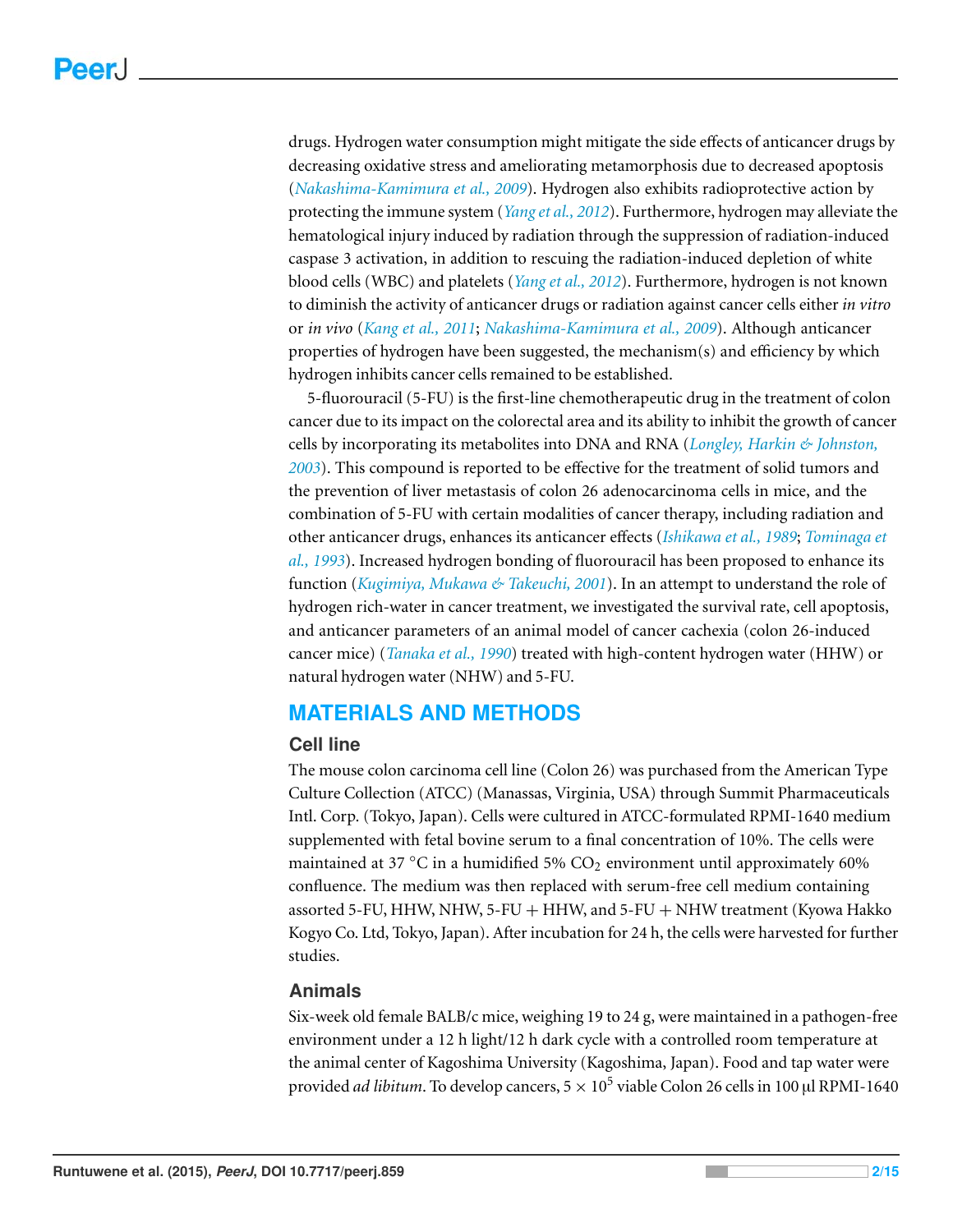drugs. Hydrogen water consumption might mitigate the side effects of anticancer drugs by decreasing oxidative stress and ameliorating metamorphosis due to decreased apoptosis (*[Nakashima-Kamimura et al., 2009](#page-13-4)*). Hydrogen also exhibits radioprotective action by protecting the immune system (*[Yang et al., 2012](#page-14-2)*). Furthermore, hydrogen may alleviate the hematological injury induced by radiation through the suppression of radiation-induced caspase 3 activation, in addition to rescuing the radiation-induced depletion of white blood cells (WBC) and platelets (*[Yang et al., 2012](#page-14-2)*). Furthermore, hydrogen is not known to diminish the activity of anticancer drugs or radiation against cancer cells either *in vitro* or *in vivo* (*[Kang et al., 2011](#page-13-5)*; *[Nakashima-Kamimura et al., 2009](#page-13-4)*). Although anticancer properties of hydrogen have been suggested, the mechanism(s) and efficiency by which hydrogen inhibits cancer cells remained to be established.

5-fluorouracil (5-FU) is the first-line chemotherapeutic drug in the treatment of colon cancer due to its impact on the colorectal area and its ability to inhibit the growth of cancer cells by incorporating its metabolites into DNA and RNA (*[Longley, Harkin & Johnston,](#page-13-6) [2003](#page-13-6)*). This compound is reported to be effective for the treatment of solid tumors and the prevention of liver metastasis of colon 26 adenocarcinoma cells in mice, and the combination of 5-FU with certain modalities of cancer therapy, including radiation and other anticancer drugs, enhances its anticancer effects (*[Ishikawa et al., 1989](#page-12-4)*; *[Tominaga et](#page-14-3) [al., 1993](#page-14-3)*). Increased hydrogen bonding of fluorouracil has been proposed to enhance its function (*[Kugimiya, Mukawa & Takeuchi, 2001](#page-13-7)*). In an attempt to understand the role of hydrogen rich-water in cancer treatment, we investigated the survival rate, cell apoptosis, and anticancer parameters of an animal model of cancer cachexia (colon 26-induced cancer mice) (*[Tanaka et al., 1990](#page-14-4)*) treated with high-content hydrogen water (HHW) or natural hydrogen water (NHW) and 5-FU.

# **MATERIALS AND METHODS**

#### **Cell line**

The mouse colon carcinoma cell line (Colon 26) was purchased from the American Type Culture Collection (ATCC) (Manassas, Virginia, USA) through Summit Pharmaceuticals Intl. Corp. (Tokyo, Japan). Cells were cultured in ATCC-formulated RPMI-1640 medium supplemented with fetal bovine serum to a final concentration of 10%. The cells were maintained at 37  $\mathrm{^{\circ}C}$  in a humidified 5%  $\mathrm{CO}_{2}$  environment until approximately 60% confluence. The medium was then replaced with serum-free cell medium containing assorted 5-FU, HHW, NHW, 5-FU + HHW, and 5-FU + NHW treatment (Kyowa Hakko Kogyo Co. Ltd, Tokyo, Japan). After incubation for 24 h, the cells were harvested for further studies.

#### **Animals**

Six-week old female BALB/c mice, weighing 19 to 24 g, were maintained in a pathogen-free environment under a 12 h light/12 h dark cycle with a controlled room temperature at the animal center of Kagoshima University (Kagoshima, Japan). Food and tap water were provided *ad libitum*. To develop cancers, 5  $\times$  10<sup>5</sup> viable Colon 26 cells in 100 µl RPMI-1640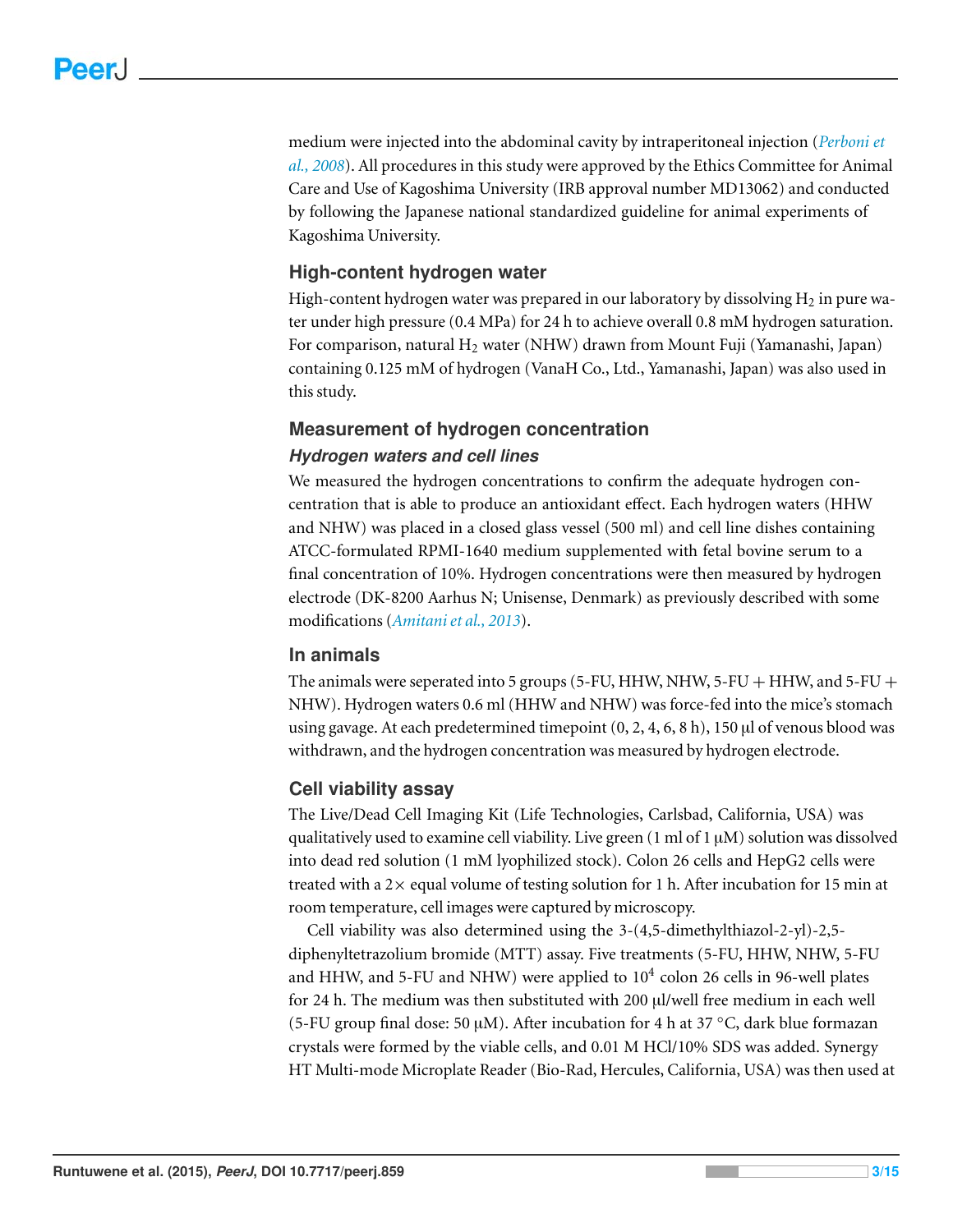medium were injected into the abdominal cavity by intraperitoneal injection (*[Perboni et](#page-14-5) [al., 2008](#page-14-5)*). All procedures in this study were approved by the Ethics Committee for Animal Care and Use of Kagoshima University (IRB approval number MD13062) and conducted by following the Japanese national standardized guideline for animal experiments of Kagoshima University.

#### **High-content hydrogen water**

High-content hydrogen water was prepared in our laboratory by dissolving  $H_2$  in pure water under high pressure (0.4 MPa) for 24 h to achieve overall 0.8 mM hydrogen saturation. For comparison, natural  $H_2$  water (NHW) drawn from Mount Fuji (Yamanashi, Japan) containing 0.125 mM of hydrogen (VanaH Co., Ltd., Yamanashi, Japan) was also used in this study.

#### **Measurement of hydrogen concentration**

#### *Hydrogen waters and cell lines*

We measured the hydrogen concentrations to confirm the adequate hydrogen concentration that is able to produce an antioxidant effect. Each hydrogen waters (HHW and NHW) was placed in a closed glass vessel (500 ml) and cell line dishes containing ATCC-formulated RPMI-1640 medium supplemented with fetal bovine serum to a final concentration of 10%. Hydrogen concentrations were then measured by hydrogen electrode (DK-8200 Aarhus N; Unisense, Denmark) as previously described with some modifications (*[Amitani et al., 2013](#page-12-5)*).

#### **In animals**

The animals were seperated into 5 groups (5-FU, HHW, NHW, 5-FU + HHW, and 5-FU + NHW). Hydrogen waters 0.6 ml (HHW and NHW) was force-fed into the mice's stomach using gavage. At each predetermined timepoint  $(0, 2, 4, 6, 8 \text{ h})$ , 150 µl of venous blood was withdrawn, and the hydrogen concentration was measured by hydrogen electrode.

#### **Cell viability assay**

The Live/Dead Cell Imaging Kit (Life Technologies, Carlsbad, California, USA) was qualitatively used to examine cell viability. Live green  $(1 \text{ ml of } 1 \mu M)$  solution was dissolved into dead red solution (1 mM lyophilized stock). Colon 26 cells and HepG2 cells were treated with a  $2\times$  equal volume of testing solution for 1 h. After incubation for 15 min at room temperature, cell images were captured by microscopy.

Cell viability was also determined using the 3-(4,5-dimethylthiazol-2-yl)-2,5 diphenyltetrazolium bromide (MTT) assay. Five treatments (5-FU, HHW, NHW, 5-FU and HHW, and 5-FU and NHW) were applied to  $10^4$  colon 26 cells in 96-well plates for 24 h. The medium was then substituted with 200 µl/well free medium in each well (5-FU group final dose: 50 µM). After incubation for 4 h at 37  $\degree$ C, dark blue formazan crystals were formed by the viable cells, and 0.01 M HCl/10% SDS was added. Synergy HT Multi-mode Microplate Reader (Bio-Rad, Hercules, California, USA) was then used at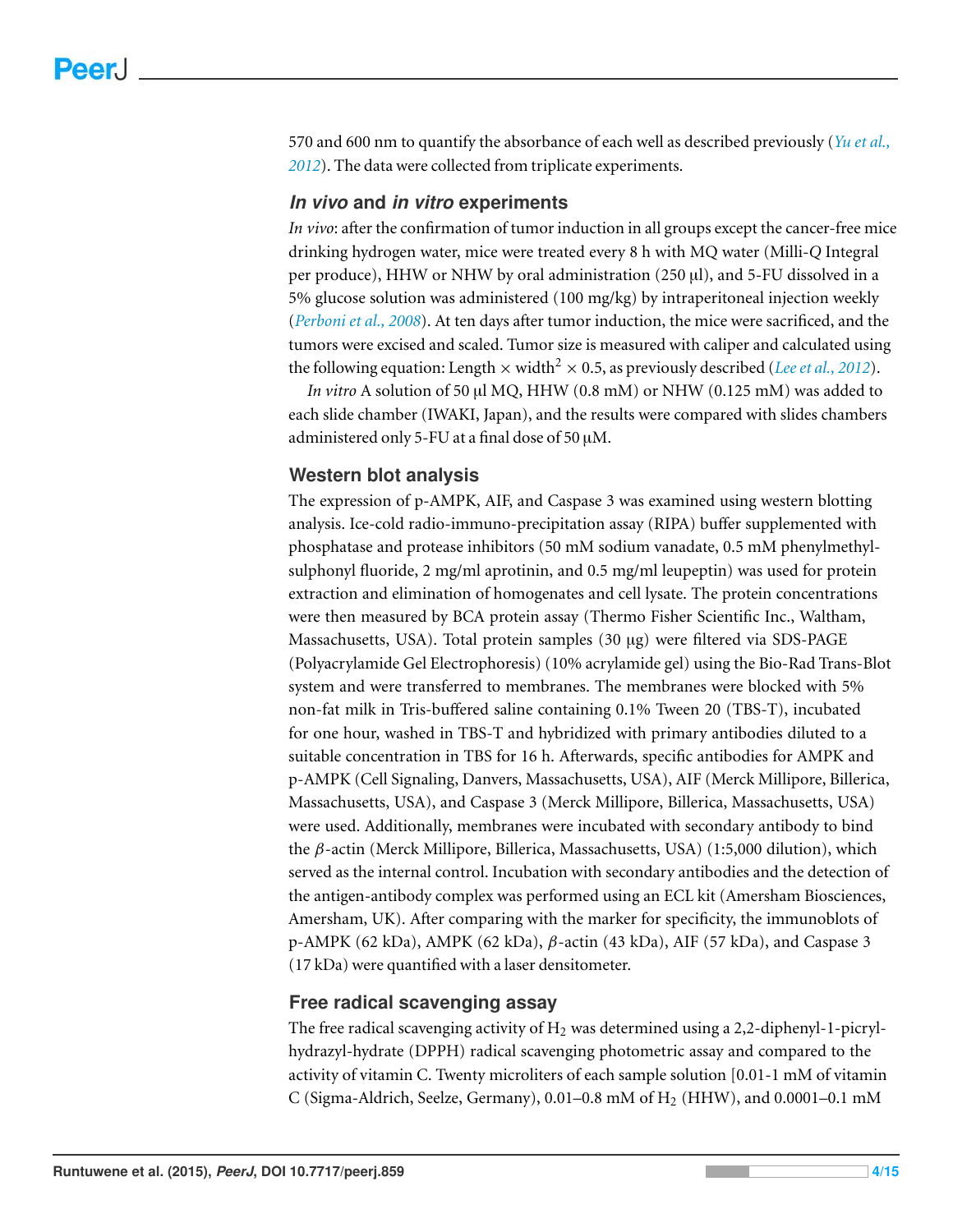570 and 600 nm to quantify the absorbance of each well as described previously (*[Yu et al.,](#page-14-6) [2012](#page-14-6)*). The data were collected from triplicate experiments.

#### *In vivo* **and** *in vitro* **experiments**

*In vivo*: after the confirmation of tumor induction in all groups except the cancer-free mice drinking hydrogen water, mice were treated every 8 h with MQ water (Milli-*Q* Integral per produce), HHW or NHW by oral administration (250 µl), and 5-FU dissolved in a 5% glucose solution was administered (100 mg/kg) by intraperitoneal injection weekly (*[Perboni et al., 2008](#page-14-5)*). At ten days after tumor induction, the mice were sacrificed, and the tumors were excised and scaled. Tumor size is measured with caliper and calculated using the following equation: Length  $\times$  width<sup>2</sup>  $\times$  0.5, as previously described (*[Lee et al., 2012](#page-13-8)*).

*In vitro* A solution of 50 µl MQ, HHW (0.8 mM) or NHW (0.125 mM) was added to each slide chamber (IWAKI, Japan), and the results were compared with slides chambers administered only 5-FU at a final dose of 50  $\mu$ M.

#### **Western blot analysis**

The expression of p-AMPK, AIF, and Caspase 3 was examined using western blotting analysis. Ice-cold radio-immuno-precipitation assay (RIPA) buffer supplemented with phosphatase and protease inhibitors (50 mM sodium vanadate, 0.5 mM phenylmethylsulphonyl fluoride, 2 mg/ml aprotinin, and 0.5 mg/ml leupeptin) was used for protein extraction and elimination of homogenates and cell lysate. The protein concentrations were then measured by BCA protein assay (Thermo Fisher Scientific Inc., Waltham, Massachusetts, USA). Total protein samples (30 µg) were filtered via SDS-PAGE (Polyacrylamide Gel Electrophoresis) (10% acrylamide gel) using the Bio-Rad Trans-Blot system and were transferred to membranes. The membranes were blocked with 5% non-fat milk in Tris-buffered saline containing 0.1% Tween 20 (TBS-T), incubated for one hour, washed in TBS-T and hybridized with primary antibodies diluted to a suitable concentration in TBS for 16 h. Afterwards, specific antibodies for AMPK and p-AMPK (Cell Signaling, Danvers, Massachusetts, USA), AIF (Merck Millipore, Billerica, Massachusetts, USA), and Caspase 3 (Merck Millipore, Billerica, Massachusetts, USA) were used. Additionally, membranes were incubated with secondary antibody to bind the β-actin (Merck Millipore, Billerica, Massachusetts, USA) (1:5,000 dilution), which served as the internal control. Incubation with secondary antibodies and the detection of the antigen-antibody complex was performed using an ECL kit (Amersham Biosciences, Amersham, UK). After comparing with the marker for specificity, the immunoblots of p-AMPK (62 kDa), AMPK (62 kDa), β-actin (43 kDa), AIF (57 kDa), and Caspase 3 (17 kDa) were quantified with a laser densitometer.

#### **Free radical scavenging assay**

The free radical scavenging activity of  $H_2$  was determined using a 2,2-diphenyl-1-picrylhydrazyl-hydrate (DPPH) radical scavenging photometric assay and compared to the activity of vitamin C. Twenty microliters of each sample solution [0.01-1 mM of vitamin C (Sigma-Aldrich, Seelze, Germany),  $0.01-0.8$  mM of  $H<sub>2</sub>$  (HHW), and  $0.0001-0.1$  mM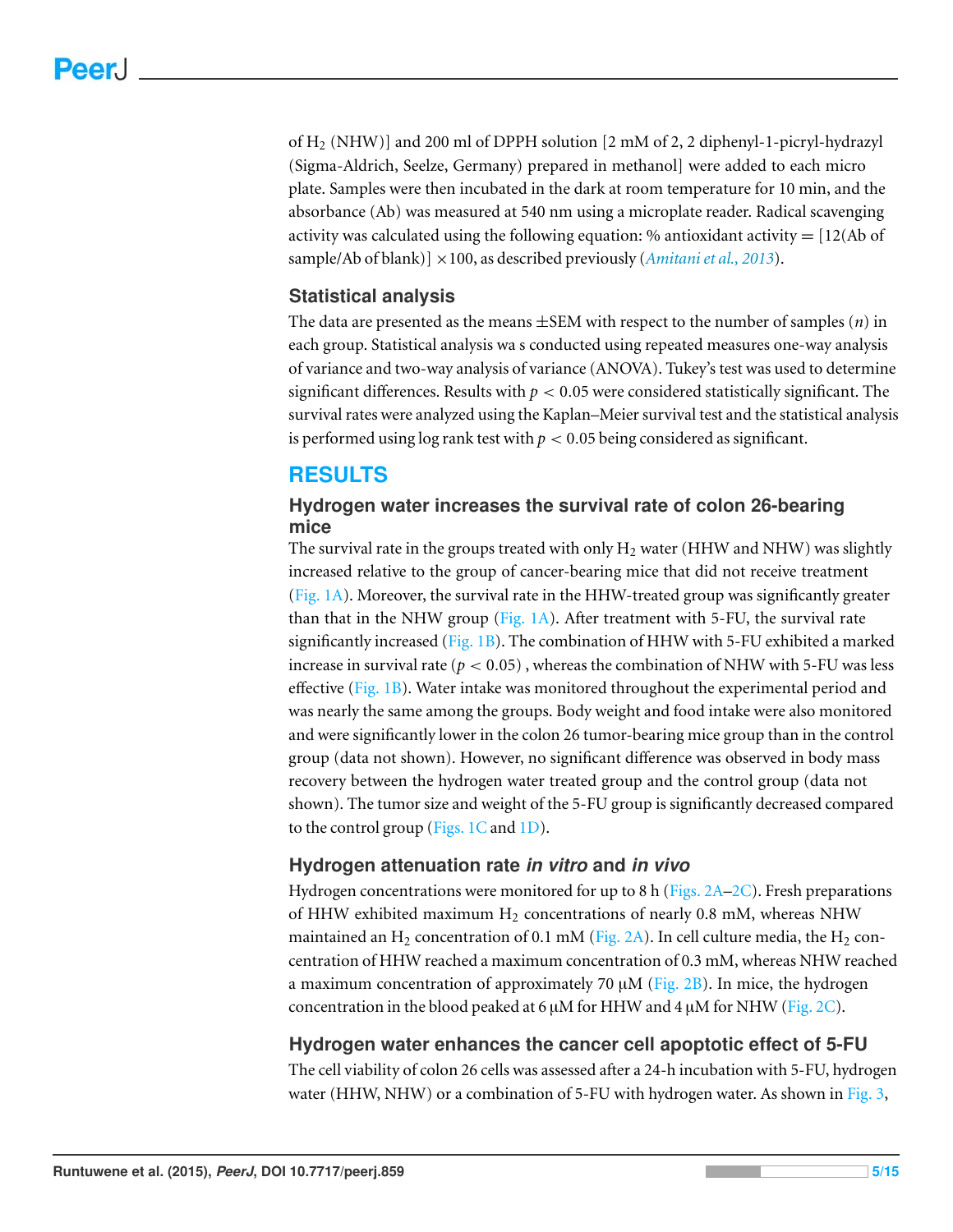of  $H_2$  (NHW)] and 200 ml of DPPH solution [2 mM of 2, 2 diphenyl-1-picryl-hydrazyl (Sigma-Aldrich, Seelze, Germany) prepared in methanol] were added to each micro plate. Samples were then incubated in the dark at room temperature for 10 min, and the absorbance (Ab) was measured at 540 nm using a microplate reader. Radical scavenging activity was calculated using the following equation: % antioxidant activity  $= [12(Ab \text{ of}$ sample/Ab of blank)] ×100, as described previously (*[Amitani et al., 2013](#page-12-5)*).

#### **Statistical analysis**

The data are presented as the means ±SEM with respect to the number of samples (*n*) in each group. Statistical analysis wa s conducted using repeated measures one-way analysis of variance and two-way analysis of variance (ANOVA). Tukey's test was used to determine significant differences. Results with  $p < 0.05$  were considered statistically significant. The survival rates were analyzed using the Kaplan–Meier survival test and the statistical analysis is performed using  $\log$  rank test with  $p < 0.05$  being considered as significant.

# **RESULTS**

#### **Hydrogen water increases the survival rate of colon 26-bearing mice**

The survival rate in the groups treated with only  $H_2$  water (HHW and NHW) was slightly increased relative to the group of cancer-bearing mice that did not receive treatment [\(Fig. 1A\)](#page-5-0). Moreover, the survival rate in the HHW-treated group was significantly greater than that in the NHW group ( $Fig. 1A$ ). After treatment with 5-FU, the survival rate significantly increased ( $Fig. 1B$ ). The combination of HHW with 5-FU exhibited a marked increase in survival rate ( $p < 0.05$ ), whereas the combination of NHW with 5-FU was less effective [\(Fig. 1B\)](#page-5-0). Water intake was monitored throughout the experimental period and was nearly the same among the groups. Body weight and food intake were also monitored and were significantly lower in the colon 26 tumor-bearing mice group than in the control group (data not shown). However, no significant difference was observed in body mass recovery between the hydrogen water treated group and the control group (data not shown). The tumor size and weight of the 5-FU group is significantly decreased compared to the control group (Figs.  $1C$  and  $1D$ ).

#### **Hydrogen attenuation rate** *in vitro* **and** *in vivo*

Hydrogen concentrations were monitored for up to 8 h (Figs.  $2A-2C$ ). Fresh preparations of HHW exhibited maximum  $H_2$  concentrations of nearly 0.8 mM, whereas NHW maintained an H<sub>2</sub> concentration of 0.1 mM [\(Fig. 2A\)](#page-6-0). In cell culture media, the H<sub>2</sub> concentration of HHW reached a maximum concentration of 0.3 mM, whereas NHW reached a maximum concentration of approximately 70  $\mu$ M [\(Fig. 2B\)](#page-6-0). In mice, the hydrogen concentration in the blood peaked at 6  $\mu$ M for HHW and 4  $\mu$ M for NHW [\(Fig. 2C\)](#page-6-0).

#### **Hydrogen water enhances the cancer cell apoptotic effect of 5-FU**

The cell viability of colon 26 cells was assessed after a 24-h incubation with 5-FU, hydrogen water (HHW, NHW) or a combination of 5-FU with hydrogen water. As shown in [Fig. 3,](#page-7-0)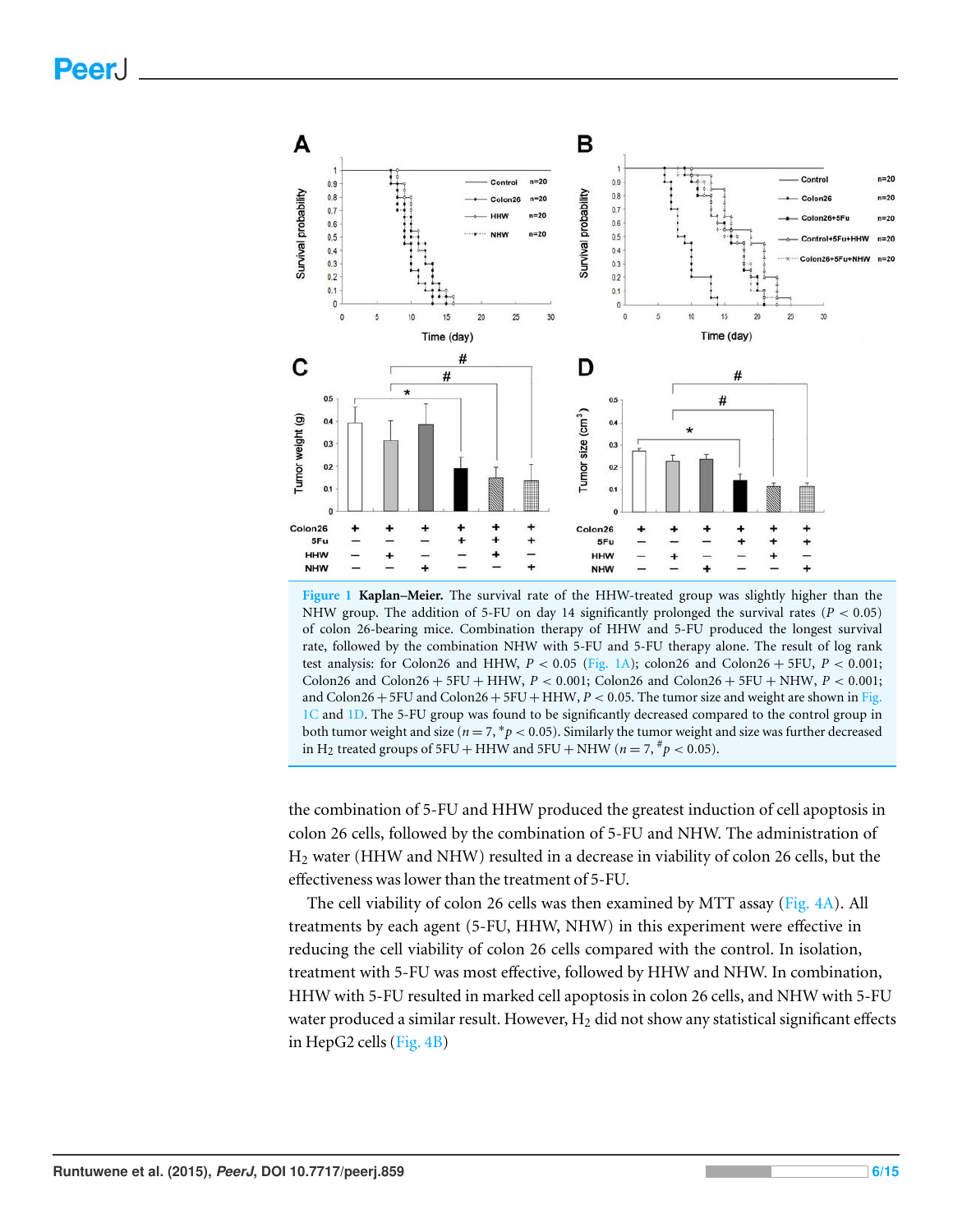<span id="page-5-0"></span>

**Figure 1 Kaplan–Meier.** The survival rate of the HHW-treated group was slightly higher than the NHW group. The addition of 5-FU on day 14 significantly prolonged the survival rates (*P* < 0.05) of colon 26-bearing mice. Combination therapy of HHW and 5-FU produced the longest survival rate, followed by the combination NHW with 5-FU and 5-FU therapy alone. The result of log rank test analysis: for Colon26 and HHW,  $P < 0.05$  [\(Fig. 1A\)](#page-5-0); colon26 and Colon26 + 5FU,  $P < 0.001$ ; Colon26 and Colon26 + 5FU + HHW, *P* < 0.001; Colon26 and Colon26 + 5FU + NHW, *P* < 0.001; and  $Colon26+5FU$  and  $Colon26+5FU+HHW$ ,  $P < 0.05$ . The tumor size and weight are shown in [Fig.](#page-5-0) [1C](#page-5-0) and [1D.](#page-5-0) The 5-FU group was found to be significantly decreased compared to the control group in both tumor weight and size (*n* = 7, <sup>∗</sup> *p* < 0.05). Similarly the tumor weight and size was further decreased in H<sub>2</sub> treated groups of 5FU + HHW and 5FU + NHW ( $n = 7, \frac{\#}{P} < 0.05$ ).

the combination of 5-FU and HHW produced the greatest induction of cell apoptosis in colon 26 cells, followed by the combination of 5-FU and NHW. The administration of H<sup>2</sup> water (HHW and NHW) resulted in a decrease in viability of colon 26 cells, but the effectiveness was lower than the treatment of 5-FU.

The cell viability of colon 26 cells was then examined by MTT assay [\(Fig. 4A\)](#page-8-0). All treatments by each agent (5-FU, HHW, NHW) in this experiment were effective in reducing the cell viability of colon 26 cells compared with the control. In isolation, treatment with 5-FU was most effective, followed by HHW and NHW. In combination, HHW with 5-FU resulted in marked cell apoptosis in colon 26 cells, and NHW with 5-FU water produced a similar result. However,  $H_2$  did not show any statistical significant effects in HepG2 cells [\(Fig. 4B\)](#page-8-0)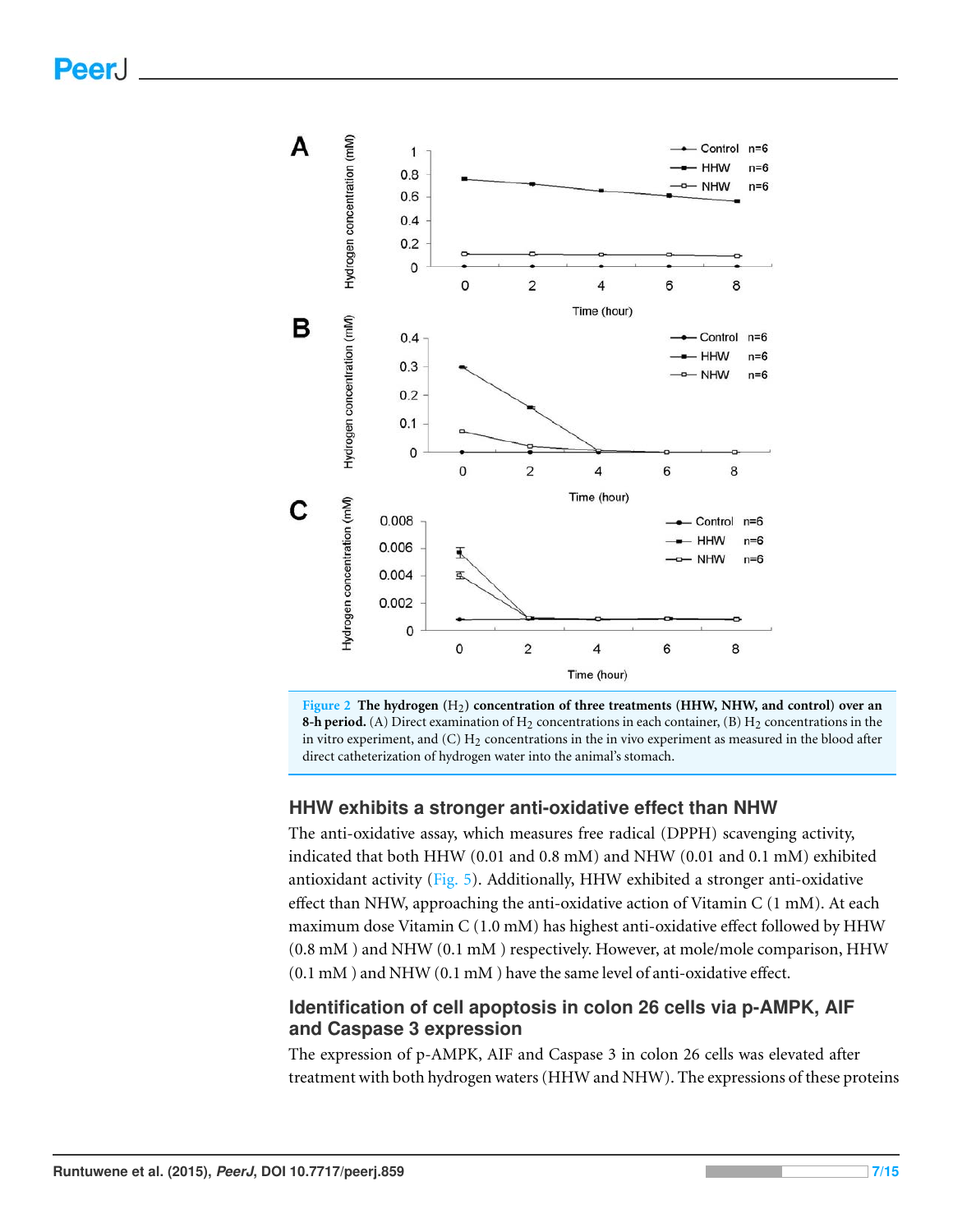<span id="page-6-0"></span>

**Figure 2 The hydrogen (**H2**) concentration of three treatments (HHW, NHW, and control) over an 8-h period.** (A) Direct examination of  $H_2$  concentrations in each container, (B)  $H_2$  concentrations in the in vitro experiment, and  $(C) H_2$  concentrations in the in vivo experiment as measured in the blood after direct catheterization of hydrogen water into the animal's stomach.

#### **HHW exhibits a stronger anti-oxidative effect than NHW**

The anti-oxidative assay, which measures free radical (DPPH) scavenging activity, indicated that both HHW (0.01 and 0.8 mM) and NHW (0.01 and 0.1 mM) exhibited antioxidant activity [\(Fig. 5\)](#page-9-0). Additionally, HHW exhibited a stronger anti-oxidative effect than NHW, approaching the anti-oxidative action of Vitamin C (1 mM). At each maximum dose Vitamin C (1.0 mM) has highest anti-oxidative effect followed by HHW (0.8 mM ) and NHW (0.1 mM ) respectively. However, at mole/mole comparison, HHW (0.1 mM ) and NHW (0.1 mM ) have the same level of anti-oxidative effect.

#### **Identification of cell apoptosis in colon 26 cells via p-AMPK, AIF and Caspase 3 expression**

The expression of p-AMPK, AIF and Caspase 3 in colon 26 cells was elevated after treatment with both hydrogen waters (HHW and NHW). The expressions of these proteins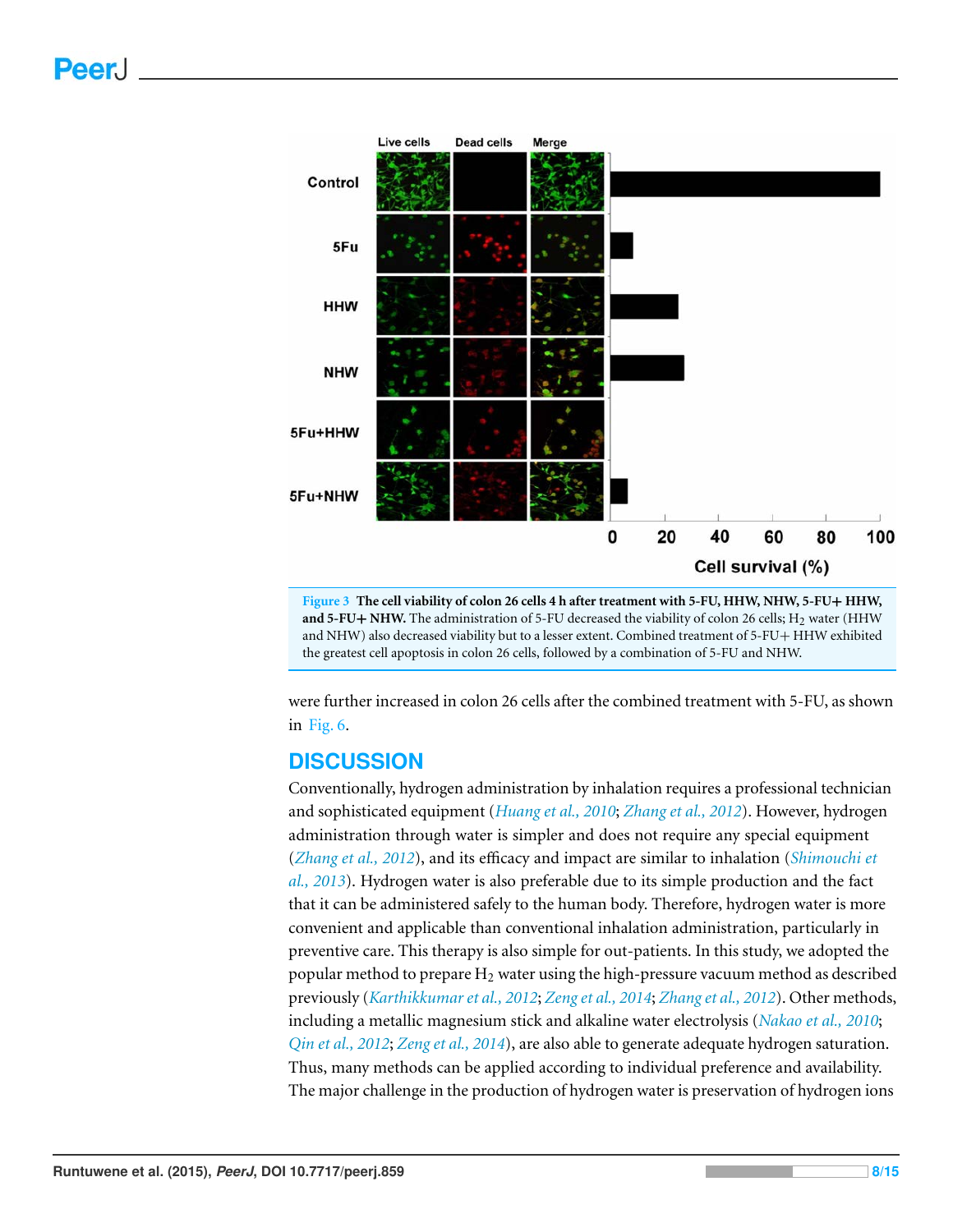<span id="page-7-0"></span>



were further increased in colon 26 cells after the combined treatment with 5-FU, as shown in [Fig. 6.](#page-10-0)

#### **DISCUSSION**

Conventionally, hydrogen administration by inhalation requires a professional technician and sophisticated equipment (*[Huang et al., 2010](#page-12-6)*; *[Zhang et al., 2012](#page-14-7)*). However, hydrogen administration through water is simpler and does not require any special equipment (*[Zhang et al., 2012](#page-14-7)*), and its efficacy and impact are similar to inhalation (*[Shimouchi et](#page-14-8) [al., 2013](#page-14-8)*). Hydrogen water is also preferable due to its simple production and the fact that it can be administered safely to the human body. Therefore, hydrogen water is more convenient and applicable than conventional inhalation administration, particularly in preventive care. This therapy is also simple for out-patients. In this study, we adopted the popular method to prepare  $H_2$  water using the high-pressure vacuum method as described previously (*[Karthikkumar et al., 2012](#page-13-9)*; *[Zeng et al., 2014](#page-14-9)*; *[Zhang et al., 2012](#page-14-7)*). Other methods, including a metallic magnesium stick and alkaline water electrolysis (*[Nakao et al., 2010](#page-13-2)*; *[Qin et al., 2012](#page-14-10)*; *[Zeng et al., 2014](#page-14-9)*), are also able to generate adequate hydrogen saturation. Thus, many methods can be applied according to individual preference and availability. The major challenge in the production of hydrogen water is preservation of hydrogen ions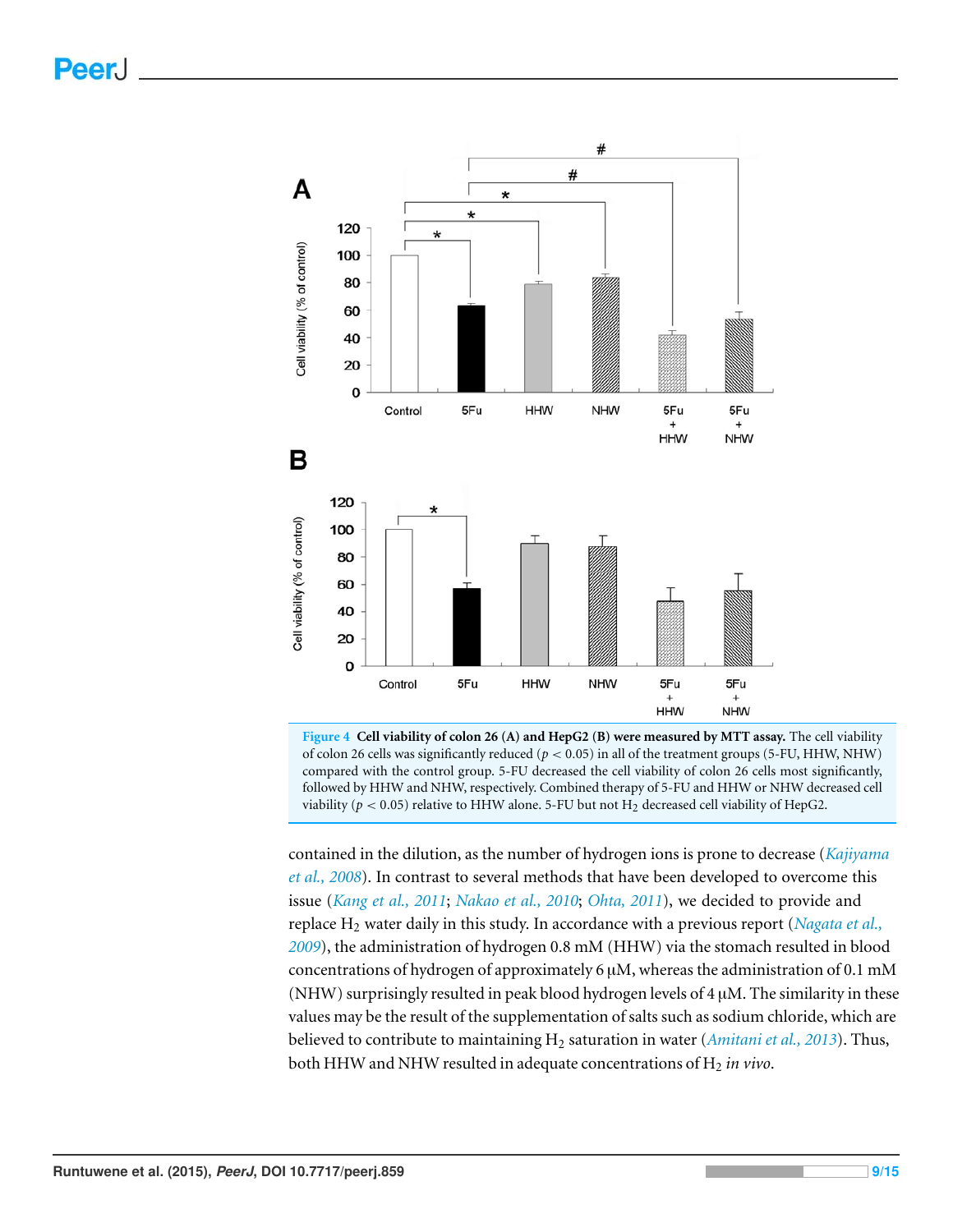<span id="page-8-0"></span>

**Figure 4 Cell viability of colon 26 (A) and HepG2 (B) were measured by MTT assay.** The cell viability of colon 26 cells was significantly reduced ( $p < 0.05$ ) in all of the treatment groups (5-FU, HHW, NHW) compared with the control group. 5-FU decreased the cell viability of colon 26 cells most significantly, followed by HHW and NHW, respectively. Combined therapy of 5-FU and HHW or NHW decreased cell viability ( $p < 0.05$ ) relative to HHW alone. 5-FU but not  $H_2$  decreased cell viability of HepG2.

contained in the dilution, as the number of hydrogen ions is prone to decrease (*[Kajiyama](#page-13-10) [et al., 2008](#page-13-10)*). In contrast to several methods that have been developed to overcome this issue (*[Kang et al., 2011](#page-13-5)*; *[Nakao et al., 2010](#page-13-2)*; *[Ohta, 2011](#page-14-11)*), we decided to provide and replace H<sup>2</sup> water daily in this study. In accordance with a previous report (*[Nagata et al.,](#page-13-11) [2009](#page-13-11)*), the administration of hydrogen 0.8 mM (HHW) via the stomach resulted in blood concentrations of hydrogen of approximately 6  $\mu$ M, whereas the administration of 0.1 mM (NHW) surprisingly resulted in peak blood hydrogen levels of  $4 \mu$ M. The similarity in these values may be the result of the supplementation of salts such as sodium chloride, which are believed to contribute to maintaining H<sup>2</sup> saturation in water (*[Amitani et al., 2013](#page-12-5)*). Thus, both HHW and NHW resulted in adequate concentrations of H<sub>2</sub> in vivo.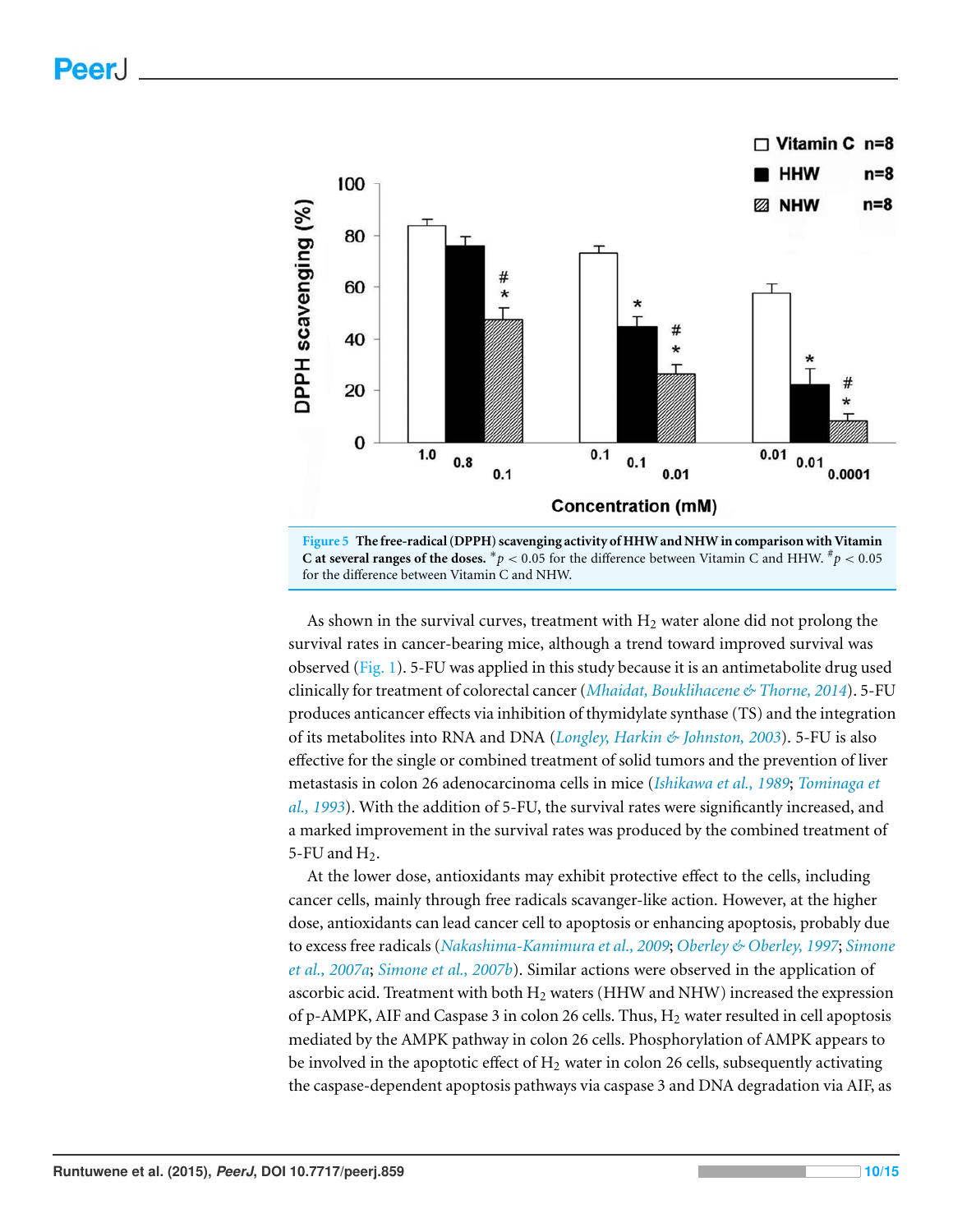<span id="page-9-0"></span>

**Figure 5 The free-radical (DPPH) scavenging activity of HHW and NHW in comparison with Vitamin C** at several ranges of the doses. \*  $p < 0.05$  for the difference between Vitamin C and HHW.  $^{\#}p < 0.05$ for the difference between Vitamin C and NHW.

As shown in the survival curves, treatment with  $H_2$  water alone did not prolong the survival rates in cancer-bearing mice, although a trend toward improved survival was observed [\(Fig. 1\)](#page-5-0). 5-FU was applied in this study because it is an antimetabolite drug used clinically for treatment of colorectal cancer (*[Mhaidat, Bouklihacene & Thorne, 2014](#page-13-12)*). 5-FU produces anticancer effects via inhibition of thymidylate synthase (TS) and the integration of its metabolites into RNA and DNA (*[Longley, Harkin & Johnston, 2003](#page-13-6)*). 5-FU is also effective for the single or combined treatment of solid tumors and the prevention of liver metastasis in colon 26 adenocarcinoma cells in mice (*[Ishikawa et al., 1989](#page-12-4)*; *[Tominaga et](#page-14-3) [al., 1993](#page-14-3)*). With the addition of 5-FU, the survival rates were significantly increased, and a marked improvement in the survival rates was produced by the combined treatment of 5-FU and  $H<sub>2</sub>$ .

At the lower dose, antioxidants may exhibit protective effect to the cells, including cancer cells, mainly through free radicals scavanger-like action. However, at the higher dose, antioxidants can lead cancer cell to apoptosis or enhancing apoptosis, probably due to excess free radicals (*[Nakashima-Kamimura et al., 2009](#page-13-4)*; *[Oberley & Oberley, 1997](#page-14-12)*; *[Simone](#page-14-13) [et al., 2007a](#page-14-13)*; *[Simone et al., 2007b](#page-14-14)*). Similar actions were observed in the application of ascorbic acid. Treatment with both  $H_2$  waters (HHW and NHW) increased the expression of p-AMPK, AIF and Caspase 3 in colon 26 cells. Thus,  $H_2$  water resulted in cell apoptosis mediated by the AMPK pathway in colon 26 cells. Phosphorylation of AMPK appears to be involved in the apoptotic effect of  $H_2$  water in colon 26 cells, subsequently activating the caspase-dependent apoptosis pathways via caspase 3 and DNA degradation via AIF, as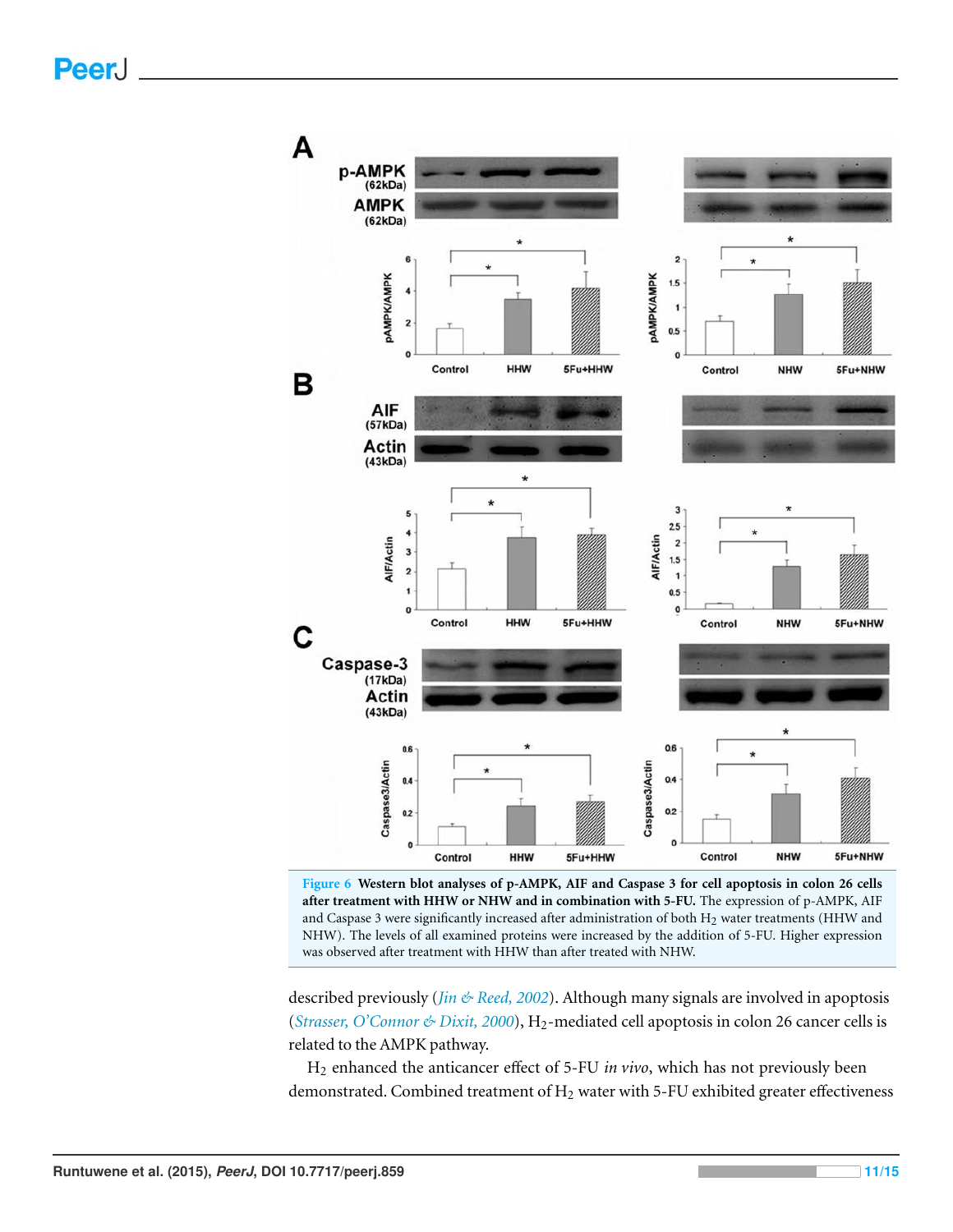<span id="page-10-0"></span>

**Figure 6 Western blot analyses of p-AMPK, AIF and Caspase 3 for cell apoptosis in colon 26 cells after treatment with HHW or NHW and in combination with 5-FU.** The expression of p-AMPK, AIF and Caspase 3 were significantly increased after administration of both H2 water treatments (HHW and NHW). The levels of all examined proteins were increased by the addition of 5-FU. Higher expression was observed after treatment with HHW than after treated with NHW.

described previously (*[Jin & Reed, 2002](#page-13-13)*). Although many signals are involved in apoptosis (*[Strasser, O'Connor & Dixit, 2000](#page-14-15)*), H<sub>2</sub>-mediated cell apoptosis in colon 26 cancer cells is related to the AMPK pathway.

H<sup>2</sup> enhanced the anticancer effect of 5-FU *in vivo*, which has not previously been demonstrated. Combined treatment of  $H_2$  water with 5-FU exhibited greater effectiveness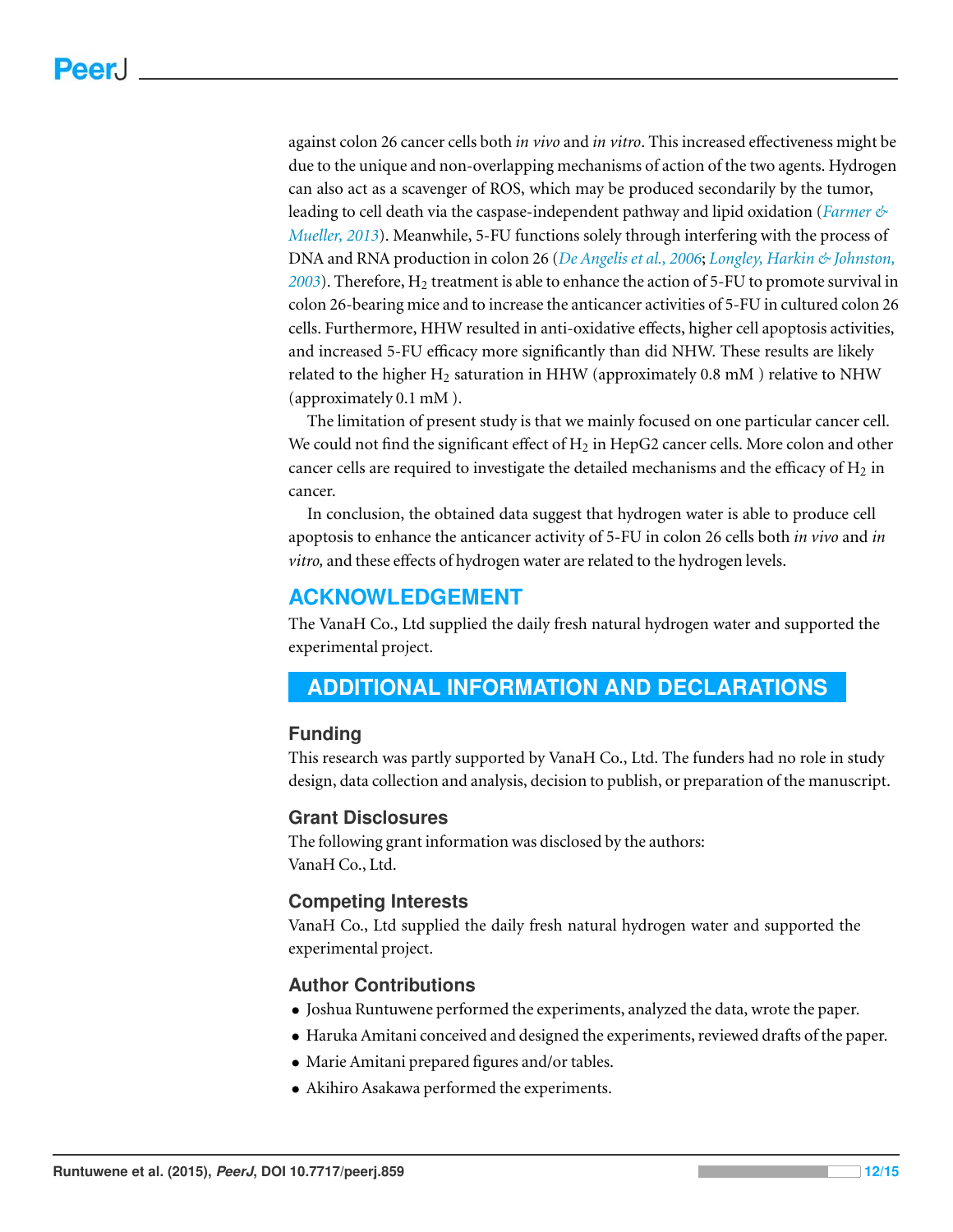against colon 26 cancer cells both *in vivo* and *in vitro*. This increased effectiveness might be due to the unique and non-overlapping mechanisms of action of the two agents. Hydrogen can also act as a scavenger of ROS, which may be produced secondarily by the tumor, leading to cell death via the caspase-independent pathway and lipid oxidation (*[Farmer &](#page-12-7) [Mueller, 2013](#page-12-7)*). Meanwhile, 5-FU functions solely through interfering with the process of DNA and RNA production in colon 26 (*[De Angelis et al., 2006](#page-12-8)*; *[Longley, Harkin & Johnston,](#page-13-6) [2003](#page-13-6)*). Therefore, H<sup>2</sup> treatment is able to enhance the action of 5-FU to promote survival in colon 26-bearing mice and to increase the anticancer activities of 5-FU in cultured colon 26 cells. Furthermore, HHW resulted in anti-oxidative effects, higher cell apoptosis activities, and increased 5-FU efficacy more significantly than did NHW. These results are likely related to the higher  $H_2$  saturation in HHW (approximately 0.8 mM) relative to NHW (approximately 0.1 mM ).

The limitation of present study is that we mainly focused on one particular cancer cell. We could not find the significant effect of  $H_2$  in HepG2 cancer cells. More colon and other cancer cells are required to investigate the detailed mechanisms and the efficacy of  $H_2$  in cancer.

In conclusion, the obtained data suggest that hydrogen water is able to produce cell apoptosis to enhance the anticancer activity of 5-FU in colon 26 cells both *in vivo* and *in vitro,* and these effects of hydrogen water are related to the hydrogen levels.

# **ACKNOWLEDGEMENT**

The VanaH Co., Ltd supplied the daily fresh natural hydrogen water and supported the experimental project.

# <span id="page-11-0"></span>**ADDITIONAL INFORMATION AND DECLARATIONS**

#### **Funding**

This research was partly supported by VanaH Co., Ltd. The funders had no role in study design, data collection and analysis, decision to publish, or preparation of the manuscript.

#### **Grant Disclosures**

The following grant information was disclosed by the authors: VanaH Co., Ltd.

#### **Competing Interests**

VanaH Co., Ltd supplied the daily fresh natural hydrogen water and supported the experimental project.

#### **Author Contributions**

- Joshua Runtuwene performed the experiments, analyzed the data, wrote the paper.
- Haruka Amitani conceived and designed the experiments, reviewed drafts of the paper.
- Marie Amitani prepared figures and/or tables.
- Akihiro Asakawa performed the experiments.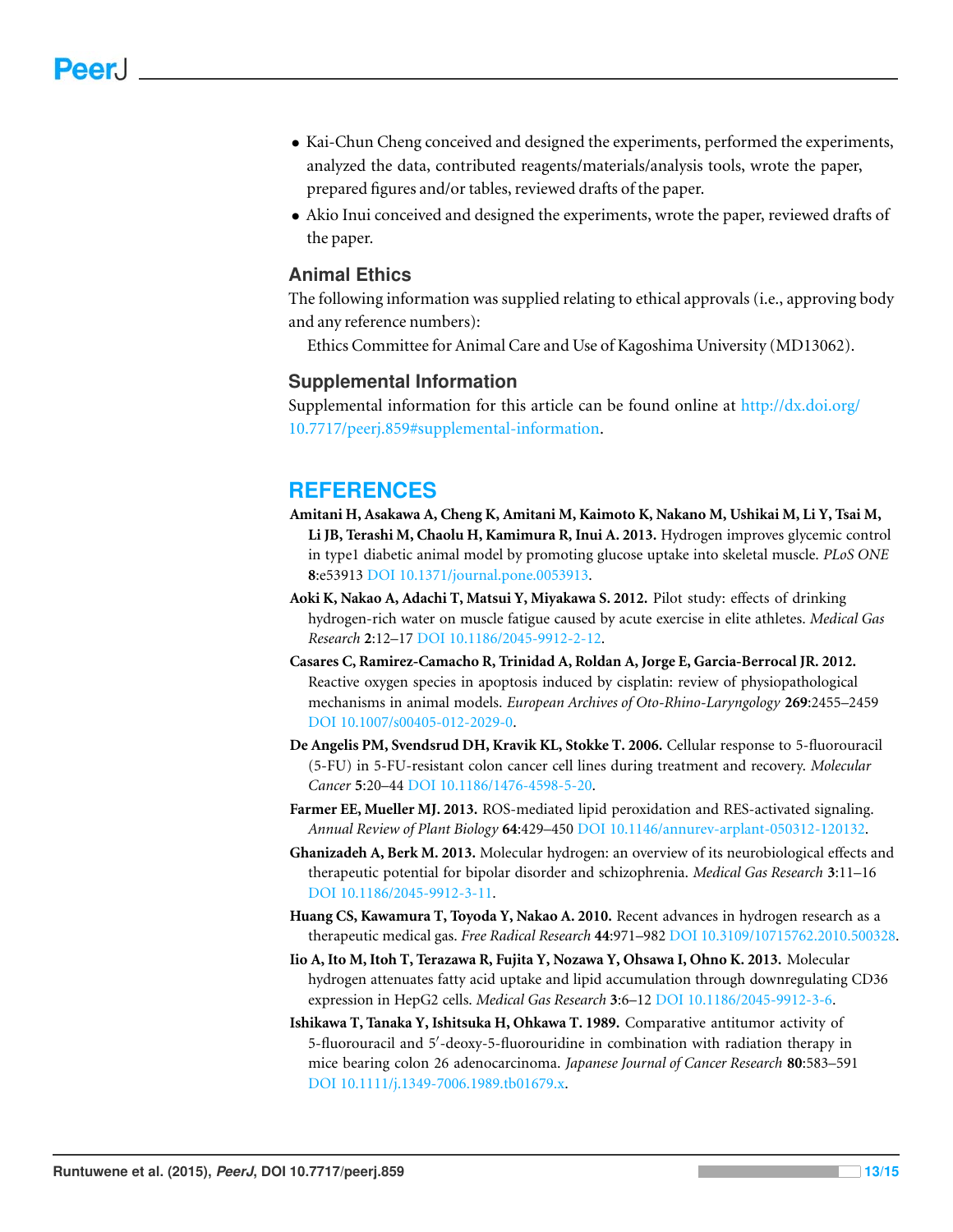- Kai-Chun Cheng conceived and designed the experiments, performed the experiments, analyzed the data, contributed reagents/materials/analysis tools, wrote the paper, prepared figures and/or tables, reviewed drafts of the paper.
- Akio Inui conceived and designed the experiments, wrote the paper, reviewed drafts of the paper.

#### **Animal Ethics**

The following information was supplied relating to ethical approvals (i.e., approving body and any reference numbers):

Ethics Committee for Animal Care and Use of Kagoshima University (MD13062).

#### **Supplemental Information**

Supplemental information for this article can be found online at [http://dx.doi.org/](http://dx.doi.org/10.7717/peerj.859#supplemental-information) [10.7717/peerj.859#supplemental-information.](http://dx.doi.org/10.7717/peerj.859#supplemental-information)

### **REFERENCES**

- <span id="page-12-5"></span>**Amitani H, Asakawa A, Cheng K, Amitani M, Kaimoto K, Nakano M, Ushikai M, Li Y, Tsai M, Li JB, Terashi M, Chaolu H, Kamimura R, Inui A. 2013.** Hydrogen improves glycemic control in type1 diabetic animal model by promoting glucose uptake into skeletal muscle. *PLoS ONE* **8**:e53913 DOI [10.1371/journal.pone.0053913.](http://dx.doi.org/10.1371/journal.pone.0053913)
- <span id="page-12-1"></span>**Aoki K, Nakao A, Adachi T, Matsui Y, Miyakawa S. 2012.** Pilot study: effects of drinking hydrogen-rich water on muscle fatigue caused by acute exercise in elite athletes. *Medical Gas Research* **2**:12–17 DOI [10.1186/2045-9912-2-12.](http://dx.doi.org/10.1186/2045-9912-2-12)
- <span id="page-12-0"></span>**Casares C, Ramirez-Camacho R, Trinidad A, Roldan A, Jorge E, Garcia-Berrocal JR. 2012.** Reactive oxygen species in apoptosis induced by cisplatin: review of physiopathological mechanisms in animal models. *European Archives of Oto-Rhino-Laryngology* **269**:2455–2459 DOI [10.1007/s00405-012-2029-0.](http://dx.doi.org/10.1007/s00405-012-2029-0)
- <span id="page-12-8"></span>**De Angelis PM, Svendsrud DH, Kravik KL, Stokke T. 2006.** Cellular response to 5-fluorouracil (5-FU) in 5-FU-resistant colon cancer cell lines during treatment and recovery. *Molecular Cancer* **5**:20–44 DOI [10.1186/1476-4598-5-20.](http://dx.doi.org/10.1186/1476-4598-5-20)
- <span id="page-12-7"></span>**Farmer EE, Mueller MJ. 2013.** ROS-mediated lipid peroxidation and RES-activated signaling. *Annual Review of Plant Biology* **64**:429–450 DOI [10.1146/annurev-arplant-050312-120132.](http://dx.doi.org/10.1146/annurev-arplant-050312-120132)
- <span id="page-12-2"></span>**Ghanizadeh A, Berk M. 2013.** Molecular hydrogen: an overview of its neurobiological effects and therapeutic potential for bipolar disorder and schizophrenia. *Medical Gas Research* **3**:11–16 DOI [10.1186/2045-9912-3-11.](http://dx.doi.org/10.1186/2045-9912-3-11)
- <span id="page-12-6"></span>**Huang CS, Kawamura T, Toyoda Y, Nakao A. 2010.** Recent advances in hydrogen research as a therapeutic medical gas. *Free Radical Research* **44**:971–982 DOI [10.3109/10715762.2010.500328.](http://dx.doi.org/10.3109/10715762.2010.500328)
- <span id="page-12-3"></span>**Iio A, Ito M, Itoh T, Terazawa R, Fujita Y, Nozawa Y, Ohsawa I, Ohno K. 2013.** Molecular hydrogen attenuates fatty acid uptake and lipid accumulation through downregulating CD36 expression in HepG2 cells. *Medical Gas Research* **3**:6–12 DOI [10.1186/2045-9912-3-6.](http://dx.doi.org/10.1186/2045-9912-3-6)
- <span id="page-12-4"></span>**Ishikawa T, Tanaka Y, Ishitsuka H, Ohkawa T. 1989.** Comparative antitumor activity of 5-fluorouracil and 5′ -deoxy-5-fluorouridine in combination with radiation therapy in mice bearing colon 26 adenocarcinoma. *Japanese Journal of Cancer Research* **80**:583–591 DOI [10.1111/j.1349-7006.1989.tb01679.x.](http://dx.doi.org/10.1111/j.1349-7006.1989.tb01679.x)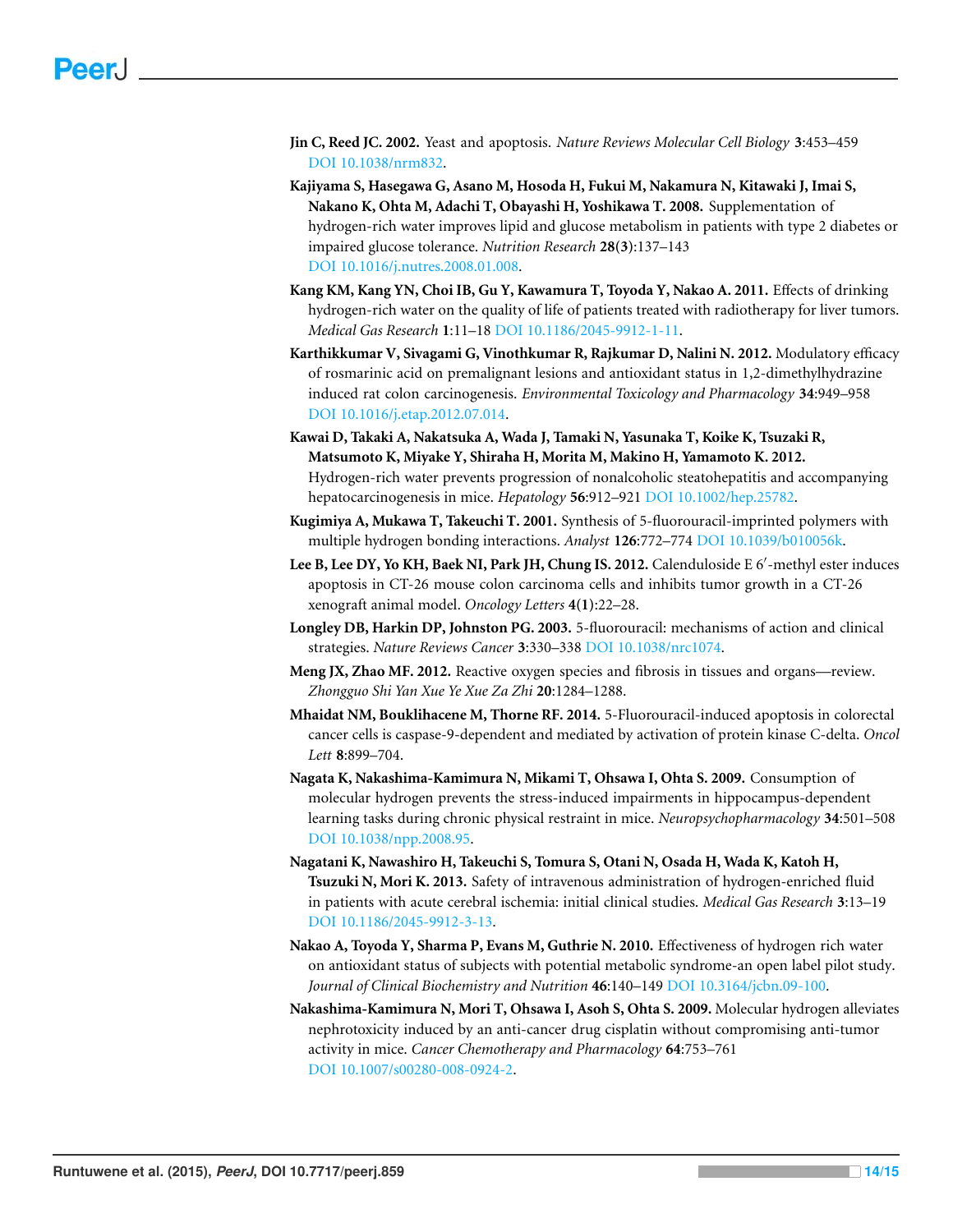- <span id="page-13-13"></span>**Jin C, Reed JC. 2002.** Yeast and apoptosis. *Nature Reviews Molecular Cell Biology* **3**:453–459 DOI [10.1038/nrm832.](http://dx.doi.org/10.1038/nrm832)
- <span id="page-13-10"></span>**Kajiyama S, Hasegawa G, Asano M, Hosoda H, Fukui M, Nakamura N, Kitawaki J, Imai S, Nakano K, Ohta M, Adachi T, Obayashi H, Yoshikawa T. 2008.** Supplementation of hydrogen-rich water improves lipid and glucose metabolism in patients with type 2 diabetes or impaired glucose tolerance. *Nutrition Research* **28(3)**:137–143 DOI [10.1016/j.nutres.2008.01.008.](http://dx.doi.org/10.1016/j.nutres.2008.01.008)
- <span id="page-13-5"></span>**Kang KM, Kang YN, Choi IB, Gu Y, Kawamura T, Toyoda Y, Nakao A. 2011.** Effects of drinking hydrogen-rich water on the quality of life of patients treated with radiotherapy for liver tumors. *Medical Gas Research* **1**:11–18 DOI [10.1186/2045-9912-1-11.](http://dx.doi.org/10.1186/2045-9912-1-11)
- <span id="page-13-9"></span>**Karthikkumar V, Sivagami G, Vinothkumar R, Rajkumar D, Nalini N. 2012.** Modulatory efficacy of rosmarinic acid on premalignant lesions and antioxidant status in 1,2-dimethylhydrazine induced rat colon carcinogenesis. *Environmental Toxicology and Pharmacology* **34**:949–958 DOI [10.1016/j.etap.2012.07.014.](http://dx.doi.org/10.1016/j.etap.2012.07.014)
- <span id="page-13-3"></span>**Kawai D, Takaki A, Nakatsuka A, Wada J, Tamaki N, Yasunaka T, Koike K, Tsuzaki R, Matsumoto K, Miyake Y, Shiraha H, Morita M, Makino H, Yamamoto K. 2012.** Hydrogen-rich water prevents progression of nonalcoholic steatohepatitis and accompanying hepatocarcinogenesis in mice. *Hepatology* **56**:912–921 DOI [10.1002/hep.25782.](http://dx.doi.org/10.1002/hep.25782)
- <span id="page-13-7"></span>**Kugimiya A, Mukawa T, Takeuchi T. 2001.** Synthesis of 5-fluorouracil-imprinted polymers with multiple hydrogen bonding interactions. *Analyst* **126**:772–774 DOI [10.1039/b010056k.](http://dx.doi.org/10.1039/b010056k)
- <span id="page-13-8"></span>**Lee B, Lee DY, Yo KH, Baek NI, Park JH, Chung IS. 2012.** Calenduloside E 6′ -methyl ester induces apoptosis in CT-26 mouse colon carcinoma cells and inhibits tumor growth in a CT-26 xenograft animal model. *Oncology Letters* **4(1)**:22–28.
- <span id="page-13-6"></span>**Longley DB, Harkin DP, Johnston PG. 2003.** 5-fluorouracil: mechanisms of action and clinical strategies. *Nature Reviews Cancer* **3**:330–338 DOI [10.1038/nrc1074.](http://dx.doi.org/10.1038/nrc1074)
- <span id="page-13-0"></span>**Meng JX, Zhao MF. 2012.** Reactive oxygen species and fibrosis in tissues and organs—review. *Zhongguo Shi Yan Xue Ye Xue Za Zhi* **20**:1284–1288.
- <span id="page-13-12"></span>**Mhaidat NM, Bouklihacene M, Thorne RF. 2014.** 5-Fluorouracil-induced apoptosis in colorectal cancer cells is caspase-9-dependent and mediated by activation of protein kinase C-delta. *Oncol Lett* **8**:899–704.
- <span id="page-13-11"></span>**Nagata K, Nakashima-Kamimura N, Mikami T, Ohsawa I, Ohta S. 2009.** Consumption of molecular hydrogen prevents the stress-induced impairments in hippocampus-dependent learning tasks during chronic physical restraint in mice. *Neuropsychopharmacology* **34**:501–508 DOI [10.1038/npp.2008.95.](http://dx.doi.org/10.1038/npp.2008.95)
- <span id="page-13-1"></span>**Nagatani K, Nawashiro H, Takeuchi S, Tomura S, Otani N, Osada H, Wada K, Katoh H, Tsuzuki N, Mori K. 2013.** Safety of intravenous administration of hydrogen-enriched fluid in patients with acute cerebral ischemia: initial clinical studies. *Medical Gas Research* **3**:13–19 DOI [10.1186/2045-9912-3-13.](http://dx.doi.org/10.1186/2045-9912-3-13)
- <span id="page-13-2"></span>**Nakao A, Toyoda Y, Sharma P, Evans M, Guthrie N. 2010.** Effectiveness of hydrogen rich water on antioxidant status of subjects with potential metabolic syndrome-an open label pilot study. *Journal of Clinical Biochemistry and Nutrition* **46**:140–149 DOI [10.3164/jcbn.09-100.](http://dx.doi.org/10.3164/jcbn.09-100)
- <span id="page-13-4"></span>**Nakashima-Kamimura N, Mori T, Ohsawa I, Asoh S, Ohta S. 2009.** Molecular hydrogen alleviates nephrotoxicity induced by an anti-cancer drug cisplatin without compromising anti-tumor activity in mice. *Cancer Chemotherapy and Pharmacology* **64**:753–761 DOI [10.1007/s00280-008-0924-2.](http://dx.doi.org/10.1007/s00280-008-0924-2)